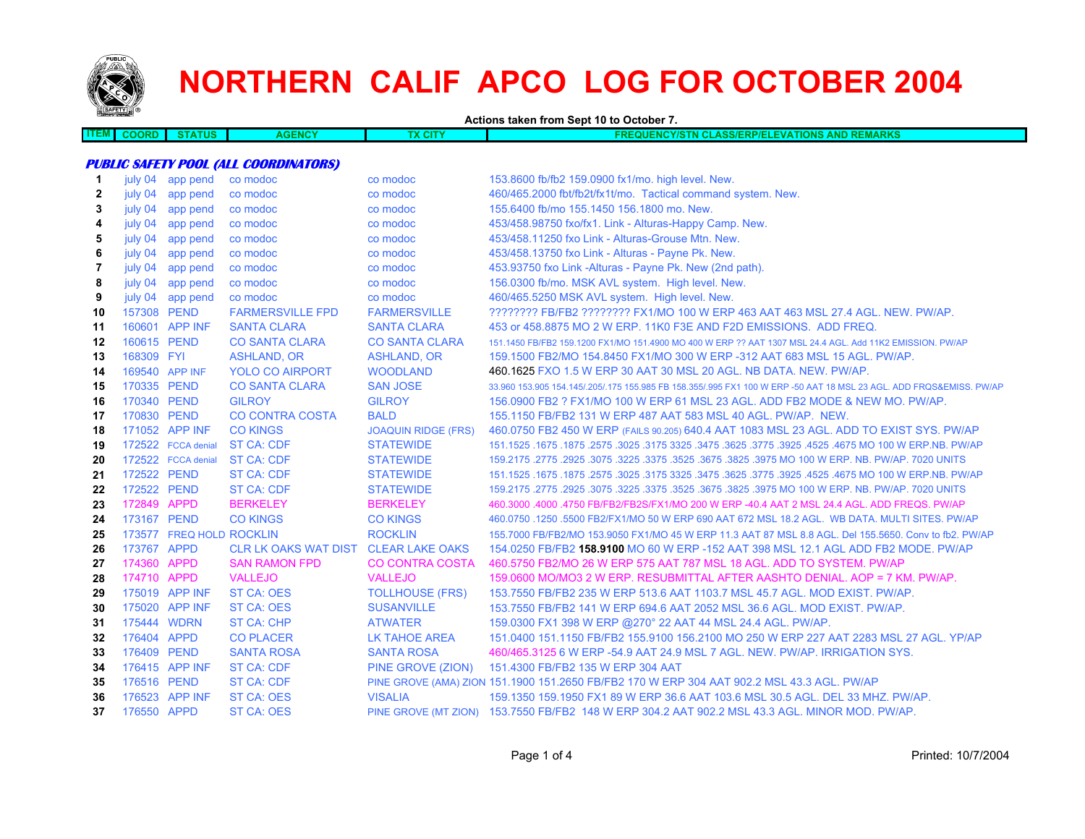

**ITEM**

## **NORTHERN CALIF APCO LOG FOR OCTOBER 2004**

**Actions taken from Sept 10 to October 7.**

| 4M F | ---- | 11 I C<br>чиж | <b>NCY</b> | <b>STATISTICS</b><br>UI L | וווכ<br>.<br>.<br>=MARK:<br>. <i>.</i><br>. .<br>$-110$ |
|------|------|---------------|------------|---------------------------|---------------------------------------------------------|
|      |      |               |            |                           |                                                         |

## **PUBLIC SAFETY POOL (ALL COORDINATORS)**

| july 04 | app pend | co modoc                                                                                                                                                                                                                                                                                                                                                                                                                                                        | co modoc                                                                               | 153.8600 fb/fb2 159.0900 fx1/mo. high level. New.                                                                   |
|---------|----------|-----------------------------------------------------------------------------------------------------------------------------------------------------------------------------------------------------------------------------------------------------------------------------------------------------------------------------------------------------------------------------------------------------------------------------------------------------------------|----------------------------------------------------------------------------------------|---------------------------------------------------------------------------------------------------------------------|
| july 04 | app pend | co modoc                                                                                                                                                                                                                                                                                                                                                                                                                                                        | co modoc                                                                               | 460/465.2000 fbt/fb2t/fx1t/mo. Tactical command system. New.                                                        |
| july 04 | app pend | co modoc                                                                                                                                                                                                                                                                                                                                                                                                                                                        | co modoc                                                                               | 155.6400 fb/mo 155.1450 156.1800 mo. New.                                                                           |
| july 04 | app pend | co modoc                                                                                                                                                                                                                                                                                                                                                                                                                                                        | co modoc                                                                               | 453/458.98750 fxo/fx1. Link - Alturas-Happy Camp. New.                                                              |
| july 04 | app pend | co modoc                                                                                                                                                                                                                                                                                                                                                                                                                                                        | co modoc                                                                               | 453/458.11250 fxo Link - Alturas-Grouse Mtn. New.                                                                   |
| july 04 | app pend | co modoc                                                                                                                                                                                                                                                                                                                                                                                                                                                        | co modoc                                                                               | 453/458.13750 fxo Link - Alturas - Payne Pk. New.                                                                   |
| july 04 | app pend | co modoc                                                                                                                                                                                                                                                                                                                                                                                                                                                        | co modoc                                                                               | 453.93750 fxo Link -Alturas - Payne Pk. New (2nd path).                                                             |
| july 04 | app pend | co modoc                                                                                                                                                                                                                                                                                                                                                                                                                                                        | co modoc                                                                               | 156.0300 fb/mo. MSK AVL system. High level. New.                                                                    |
| july 04 |          | co modoc                                                                                                                                                                                                                                                                                                                                                                                                                                                        | co modoc                                                                               | 460/465.5250 MSK AVL system. High level. New.                                                                       |
|         |          | <b>FARMERSVILLE FPD</b>                                                                                                                                                                                                                                                                                                                                                                                                                                         | <b>FARMERSVILLE</b>                                                                    | ???????? FB/FB2 ???????? FX1/MO 100 W ERP 463 AAT 463 MSL 27.4 AGL, NEW, PW/AP,                                     |
|         |          | <b>SANTA CLARA</b>                                                                                                                                                                                                                                                                                                                                                                                                                                              | <b>SANTA CLARA</b>                                                                     | 453 or 458,8875 MO 2 W ERP, 11K0 F3E AND F2D EMISSIONS. ADD FREQ.                                                   |
|         |          | <b>CO SANTA CLARA</b>                                                                                                                                                                                                                                                                                                                                                                                                                                           | <b>CO SANTA CLARA</b>                                                                  | 151.1450 FB/FB2 159.1200 FX1/MO 151.4900 MO 400 W ERP ?? AAT 1307 MSL 24.4 AGL. Add 11K2 EMISSION. PW/AP            |
|         |          | <b>ASHLAND, OR</b>                                                                                                                                                                                                                                                                                                                                                                                                                                              | <b>ASHLAND, OR</b>                                                                     | 159.1500 FB2/MO 154.8450 FX1/MO 300 W ERP -312 AAT 683 MSL 15 AGL. PW/AP.                                           |
|         |          | <b>YOLO CO AIRPORT</b>                                                                                                                                                                                                                                                                                                                                                                                                                                          | <b>WOODLAND</b>                                                                        | 460.1625 FXO 1.5 W ERP 30 AAT 30 MSL 20 AGL. NB DATA. NEW. PW/AP.                                                   |
|         |          | <b>CO SANTA CLARA</b>                                                                                                                                                                                                                                                                                                                                                                                                                                           | <b>SAN JOSE</b>                                                                        | 33.960 153.905 154.145/.205/.175 155.985 FB 158.355/.995 FX1 100 W ERP -50 AAT 18 MSL 23 AGL. ADD FRQS&EMISS. PW/AP |
|         |          | <b>GILROY</b>                                                                                                                                                                                                                                                                                                                                                                                                                                                   | <b>GILROY</b>                                                                          | 156.0900 FB2 ? FX1/MO 100 W ERP 61 MSL 23 AGL. ADD FB2 MODE & NEW MO. PW/AP.                                        |
|         |          | <b>CO CONTRA COSTA</b>                                                                                                                                                                                                                                                                                                                                                                                                                                          | <b>BALD</b>                                                                            | 155.1150 FB/FB2 131 W ERP 487 AAT 583 MSL 40 AGL, PW/AP, NEW.                                                       |
|         |          | <b>CO KINGS</b>                                                                                                                                                                                                                                                                                                                                                                                                                                                 | <b>JOAQUIN RIDGE (FRS)</b>                                                             | 460.0750 FB2 450 W ERP (FAILS 90.205) 640.4 AAT 1083 MSL 23 AGL. ADD TO EXIST SYS. PW/AP                            |
|         |          |                                                                                                                                                                                                                                                                                                                                                                                                                                                                 | <b>STATEWIDE</b>                                                                       | 151.1525 .1675 .1675 .3625 .3775 .3925 .3925 .3925 .3775 .3925 .3775 .3925 .4525 .1675 .1679 .1679 .1679 .167       |
|         |          |                                                                                                                                                                                                                                                                                                                                                                                                                                                                 | <b>STATEWIDE</b>                                                                       | 159.2175 .2775 .2925 .3075 .3225 .3675 .3675 .3825 .3975 MO 100 W ERP. NB. PW/AP. 7020 UNITS                        |
|         |          | <b>ST CA: CDF</b>                                                                                                                                                                                                                                                                                                                                                                                                                                               | <b>STATEWIDE</b>                                                                       | 151.1525 .1675 .1875 .2575 .3025 .3175 3325 .3475 .3625 .3775 .3925 .4525 .4675 MO 100 W ERP.NB. PW/AP              |
|         |          | <b>ST CA: CDF</b>                                                                                                                                                                                                                                                                                                                                                                                                                                               | <b>STATEWIDE</b>                                                                       | 159.2175 .2775 .2925 .3075 .3225 .3375 .3525 .3675 .3825 .3975 MO 100 W ERP. NB. PW/AP. 7020 UNITS                  |
|         |          | <b>BERKELEY</b>                                                                                                                                                                                                                                                                                                                                                                                                                                                 | <b>BERKELEY</b>                                                                        | 460.3000 .4000 .4750 FB/FB2/FB2S/FX1/MO 200 W ERP -40.4 AAT 2 MSL 24.4 AGL. ADD FREQS. PW/AP                        |
|         |          | <b>CO KINGS</b>                                                                                                                                                                                                                                                                                                                                                                                                                                                 | <b>CO KINGS</b>                                                                        | 460.0750 .1250 .5500 FB2/FX1/MO 50 W ERP 690 AAT 672 MSL 18.2 AGL. WB DATA. MULTI SITES. PW/AP                      |
|         |          |                                                                                                                                                                                                                                                                                                                                                                                                                                                                 | <b>ROCKLIN</b>                                                                         | 155,7000 FB/FB2/MO 153,9050 FX1/MO 45 W ERP 11.3 AAT 87 MSL 8.8 AGL, Del 155,5650, Conv to fb2, PW/AP               |
|         |          | <b>CLR LK OAKS WAT DIST</b>                                                                                                                                                                                                                                                                                                                                                                                                                                     | <b>CLEAR LAKE OAKS</b>                                                                 | 154.0250 FB/FB2 158.9100 MO 60 W ERP -152 AAT 398 MSL 12.1 AGL ADD FB2 MODE. PW/AP                                  |
|         |          | <b>SAN RAMON FPD</b>                                                                                                                                                                                                                                                                                                                                                                                                                                            | <b>CO CONTRA COSTA</b>                                                                 | 460.5750 FB2/MO 26 W ERP 575 AAT 787 MSL 18 AGL, ADD TO SYSTEM, PW/AP                                               |
|         |          | <b>VALLEJO</b>                                                                                                                                                                                                                                                                                                                                                                                                                                                  | <b>VALLEJO</b>                                                                         | 159,0600 MO/MO3 2 W ERP. RESUBMITTAL AFTER AASHTO DENIAL, AOP = 7 KM, PW/AP.                                        |
|         |          | ST CA: OES                                                                                                                                                                                                                                                                                                                                                                                                                                                      | <b>TOLLHOUSE (FRS)</b>                                                                 | 153.7550 FB/FB2 235 W ERP 513.6 AAT 1103.7 MSL 45.7 AGL, MOD EXIST, PW/AP.                                          |
|         |          | <b>ST CA: OES</b>                                                                                                                                                                                                                                                                                                                                                                                                                                               | <b>SUSANVILLE</b>                                                                      | 153.7550 FB/FB2 141 W ERP 694.6 AAT 2052 MSL 36.6 AGL, MOD EXIST, PW/AP.                                            |
|         |          | <b>ST CA: CHP</b>                                                                                                                                                                                                                                                                                                                                                                                                                                               | <b>ATWATER</b>                                                                         | 159.0300 FX1 398 W ERP @270° 22 AAT 44 MSL 24.4 AGL. PW/AP.                                                         |
|         |          |                                                                                                                                                                                                                                                                                                                                                                                                                                                                 | LK TAHOE AREA                                                                          | 151,0400 151,1150 FB/FB2 155,9100 156,2100 MO 250 W ERP 227 AAT 2283 MSL 27 AGL, YP/AP                              |
|         |          | <b>SANTA ROSA</b>                                                                                                                                                                                                                                                                                                                                                                                                                                               | <b>SANTA ROSA</b>                                                                      | 460/465.3125 6 W ERP -54.9 AAT 24.9 MSL 7 AGL. NEW. PW/AP. IRRIGATION SYS.                                          |
|         |          | <b>ST CA: CDF</b>                                                                                                                                                                                                                                                                                                                                                                                                                                               | PINE GROVE (ZION)                                                                      | 151.4300 FB/FB2 135 W ERP 304 AAT                                                                                   |
|         |          | <b>ST CA: CDF</b>                                                                                                                                                                                                                                                                                                                                                                                                                                               |                                                                                        | PINE GROVE (AMA) ZION 151.1900 151.2650 FB/FB2 170 W ERP 304 AAT 902.2 MSL 43.3 AGL. PW/AP                          |
|         |          | <b>ST CA: OES</b>                                                                                                                                                                                                                                                                                                                                                                                                                                               | <b>VISALIA</b>                                                                         | 159.1350 159.1950 FX1 89 W ERP 36.6 AAT 103.6 MSL 30.5 AGL. DEL 33 MHZ. PW/AP.                                      |
|         |          | <b>ST CA: OES</b>                                                                                                                                                                                                                                                                                                                                                                                                                                               |                                                                                        | PINE GROVE (MT ZION) 153.7550 FB/FB2 148 W ERP 304.2 AAT 902.2 MSL 43.3 AGL. MINOR MOD. PW/AP.                      |
|         |          | app pend<br>157308 PEND<br>160601 APP INF<br>160615 PEND<br>168309 FYI<br>169540 APP INF<br>170335 PEND<br>170340 PEND<br>170830 PEND<br>171052 APP INF<br>172522 FCCA denial<br>172522 FCCA denial<br>172522 PEND<br>172522 PEND<br>172849 APPD<br>173167 PEND<br>173767 APPD<br>174360 APPD<br>174710 APPD<br>175019 APP INF<br>175020 APP INF<br>175444 WDRN<br>176404 APPD<br>176409 PEND<br>176415 APP INF<br>176516 PEND<br>176523 APP INF<br>176550 APPD | <b>ST CA: CDF</b><br><b>ST CA: CDF</b><br>173577 FREQ HOLD ROCKLIN<br><b>CO PLACER</b> |                                                                                                                     |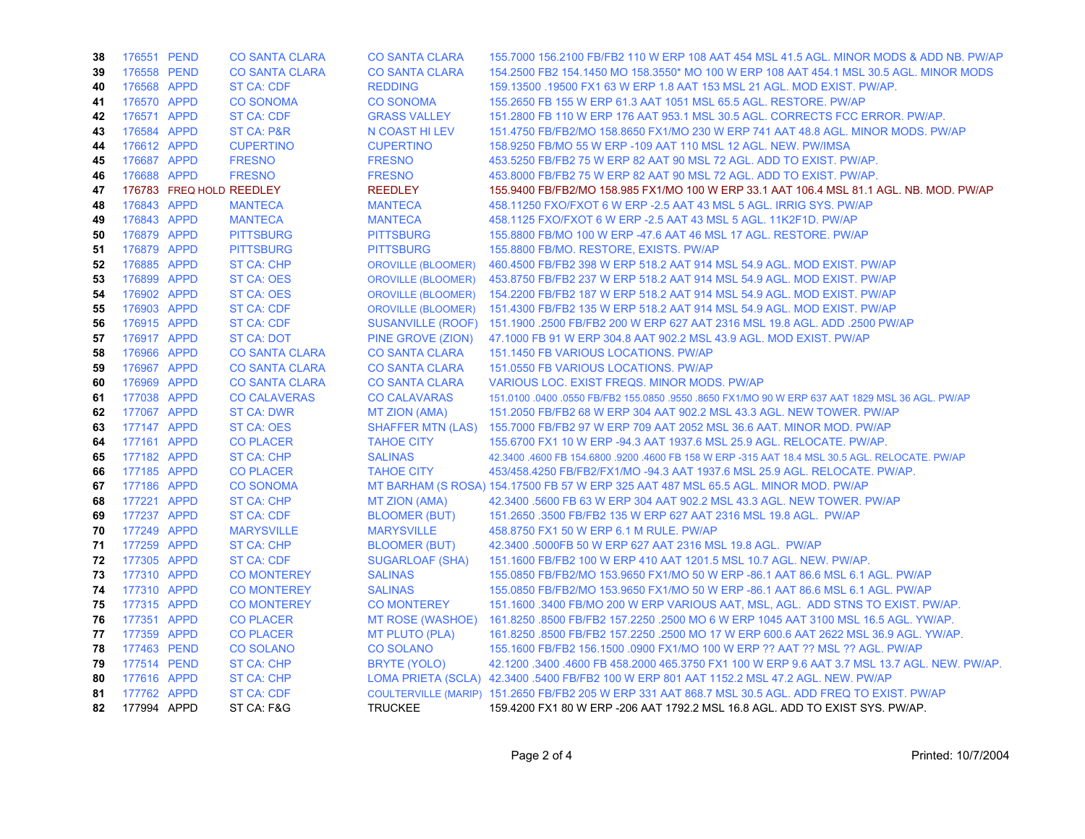| 38 | 176551 PEND | <b>CO SANTA CLARA</b>    | <b>CO SANTA CLARA</b>     | 155,7000 156,2100 FB/FB2 110 W ERP 108 AAT 454 MSL 41.5 AGL, MINOR MODS & ADD NB, PW/AP             |
|----|-------------|--------------------------|---------------------------|-----------------------------------------------------------------------------------------------------|
| 39 | 176558 PEND | <b>CO SANTA CLARA</b>    | <b>CO SANTA CLARA</b>     | 154,2500 FB2 154,1450 MO 158,3550* MO 100 W ERP 108 AAT 454,1 MSL 30.5 AGL. MINOR MODS              |
| 40 | 176568 APPD | <b>ST CA: CDF</b>        | <b>REDDING</b>            | 159.13500 .19500 FX1 63 W ERP 1.8 AAT 153 MSL 21 AGL. MOD EXIST. PW/AP.                             |
| 41 | 176570 APPD | <b>CO SONOMA</b>         | <b>CO SONOMA</b>          | 155.2650 FB 155 W ERP 61.3 AAT 1051 MSL 65.5 AGL. RESTORE. PW/AP                                    |
| 42 | 176571 APPD | <b>ST CA: CDF</b>        | <b>GRASS VALLEY</b>       | 151,2800 FB 110 W ERP 176 AAT 953.1 MSL 30.5 AGL, CORRECTS FCC ERROR, PW/AP.                        |
| 43 | 176584 APPD | <b>ST CA: P&amp;R</b>    | N COAST HILEV             | 151.4750 FB/FB2/MO 158.8650 FX1/MO 230 W ERP 741 AAT 48.8 AGL. MINOR MODS. PW/AP                    |
| 44 | 176612 APPD | <b>CUPERTINO</b>         | <b>CUPERTINO</b>          | 158,9250 FB/MO 55 W ERP -109 AAT 110 MSL 12 AGL, NEW, PW/IMSA                                       |
| 45 | 176687 APPD | <b>FRESNO</b>            | <b>FRESNO</b>             | 453,5250 FB/FB2 75 W ERP 82 AAT 90 MSL 72 AGL, ADD TO EXIST, PW/AP.                                 |
| 46 | 176688 APPD | <b>FRESNO</b>            | <b>FRESNO</b>             | 453.8000 FB/FB2 75 W ERP 82 AAT 90 MSL 72 AGL. ADD TO EXIST. PW/AP.                                 |
| 47 |             | 176783 FREQ HOLD REEDLEY | <b>REEDLEY</b>            | 155.9400 FB/FB2/MO 158.985 FX1/MO 100 W ERP 33.1 AAT 106.4 MSL 81.1 AGL. NB. MOD. PW/AP             |
| 48 | 176843 APPD | <b>MANTECA</b>           | <b>MANTECA</b>            | 458.11250 FXO/FXOT 6 W ERP - 2.5 AAT 43 MSL 5 AGL. IRRIG SYS. PW/AP                                 |
| 49 | 176843 APPD | <b>MANTECA</b>           | <b>MANTECA</b>            | 458.1125 FXO/FXOT 6 W ERP -2.5 AAT 43 MSL 5 AGL. 11K2F1D. PW/AP                                     |
| 50 | 176879 APPD | <b>PITTSBURG</b>         | <b>PITTSBURG</b>          | 155,8800 FB/MO 100 W ERP -47.6 AAT 46 MSL 17 AGL, RESTORE, PW/AP                                    |
| 51 | 176879 APPD | <b>PITTSBURG</b>         | <b>PITTSBURG</b>          | 155,8800 FB/MO, RESTORE, EXISTS, PW/AP                                                              |
| 52 | 176885 APPD | <b>ST CA: CHP</b>        | <b>OROVILLE (BLOOMER)</b> | 460.4500 FB/FB2 398 W ERP 518.2 AAT 914 MSL 54.9 AGL. MOD EXIST. PW/AP                              |
| 53 | 176899 APPD | <b>ST CA: OES</b>        | <b>OROVILLE (BLOOMER)</b> | 453.8750 FB/FB2 237 W ERP 518.2 AAT 914 MSL 54.9 AGL. MOD EXIST. PW/AP                              |
| 54 | 176902 APPD | ST CA: OES               | <b>OROVILLE (BLOOMER)</b> | 154.2200 FB/FB2 187 W ERP 518.2 AAT 914 MSL 54.9 AGL. MOD EXIST. PW/AP                              |
| 55 | 176903 APPD | <b>ST CA: CDF</b>        | <b>OROVILLE (BLOOMER)</b> | 151.4300 FB/FB2 135 W ERP 518.2 AAT 914 MSL 54.9 AGL. MOD EXIST. PW/AP                              |
| 56 | 176915 APPD | <b>ST CA: CDF</b>        | SUSANVILLE (ROOF)         | 151.1900 .2500 FB/FB2 200 W ERP 627 AAT 2316 MSL 19.8 AGL. ADD .2500 PW/AP                          |
| 57 | 176917 APPD | <b>ST CA: DOT</b>        | PINE GROVE (ZION)         | 47.1000 FB 91 W ERP 304.8 AAT 902.2 MSL 43.9 AGL, MOD EXIST, PW/AP                                  |
| 58 | 176966 APPD | <b>CO SANTA CLARA</b>    | <b>CO SANTA CLARA</b>     | 151.1450 FB VARIOUS LOCATIONS, PW/AP                                                                |
| 59 | 176967 APPD | <b>CO SANTA CLARA</b>    | <b>CO SANTA CLARA</b>     | 151.0550 FB VARIOUS LOCATIONS. PW/AP                                                                |
| 60 | 176969 APPD | <b>CO SANTA CLARA</b>    | <b>CO SANTA CLARA</b>     | VARIOUS LOC. EXIST FREQS. MINOR MODS. PW/AP                                                         |
| 61 | 177038 APPD | <b>CO CALAVERAS</b>      | <b>CO CALAVARAS</b>       | 151.0100 .0400 .0550 FB/FB2 155.0850 .9550 .8650 FX1/MO 90 W ERP 637 AAT 1829 MSL 36 AGL. PW/AP     |
| 62 | 177067 APPD | <b>ST CA: DWR</b>        | <b>MT ZION (AMA)</b>      | 151.2050 FB/FB2 68 W ERP 304 AAT 902.2 MSL 43.3 AGL. NEW TOWER. PW/AP                               |
| 63 | 177147 APPD | <b>ST CA: OES</b>        | <b>SHAFFER MTN (LAS)</b>  | 155.7000 FB/FB2 97 W ERP 709 AAT 2052 MSL 36.6 AAT. MINOR MOD. PW/AP                                |
| 64 | 177161 APPD | <b>CO PLACER</b>         | <b>TAHOE CITY</b>         | 155,6700 FX1 10 W ERP -94.3 AAT 1937.6 MSL 25.9 AGL, RELOCATE, PW/AP.                               |
| 65 | 177182 APPD | <b>ST CA: CHP</b>        | <b>SALINAS</b>            | 42,3400 .4600 FB 154,6800 .9200 .4600 FB 158 W ERP -315 AAT 18.4 MSL 30.5 AGL. RELOCATE. PW/AP      |
| 66 | 177185 APPD | <b>CO PLACER</b>         | <b>TAHOE CITY</b>         | 453/458.4250 FB/FB2/FX1/MO -94.3 AAT 1937.6 MSL 25.9 AGL. RELOCATE. PW/AP.                          |
| 67 | 177186 APPD | <b>CO SONOMA</b>         |                           | MT BARHAM (S ROSA) 154.17500 FB 57 W ERP 325 AAT 487 MSL 65.5 AGL. MINOR MOD. PW/AP                 |
| 68 | 177221 APPD | <b>ST CA: CHP</b>        | MT ZION (AMA)             | 42.3400 .5600 FB 63 W ERP 304 AAT 902.2 MSL 43.3 AGL. NEW TOWER. PW/AP                              |
| 69 | 177237 APPD | <b>ST CA: CDF</b>        | <b>BLOOMER (BUT)</b>      | 151.2650 .3500 FB/FB2 135 W ERP 627 AAT 2316 MSL 19.8 AGL. PW/AP                                    |
| 70 | 177249 APPD | <b>MARYSVILLE</b>        | <b>MARYSVILLE</b>         | 458,8750 FX1 50 W ERP 6.1 M RULE, PW/AP                                                             |
| 71 | 177259 APPD | <b>ST CA: CHP</b>        | <b>BLOOMER (BUT)</b>      | 42.3400 .5000FB 50 W ERP 627 AAT 2316 MSL 19.8 AGL. PW/AP                                           |
| 72 | 177305 APPD | <b>ST CA: CDF</b>        | <b>SUGARLOAF (SHA)</b>    | 151.1600 FB/FB2 100 W ERP 410 AAT 1201.5 MSL 10.7 AGL. NEW. PW/AP.                                  |
| 73 | 177310 APPD | <b>CO MONTEREY</b>       | <b>SALINAS</b>            | 155.0850 FB/FB2/MO 153.9650 FX1/MO 50 W ERP -86.1 AAT 86.6 MSL 6.1 AGL. PW/AP                       |
| 74 | 177310 APPD | <b>CO MONTEREY</b>       | <b>SALINAS</b>            | 155.0850 FB/FB2/MO 153.9650 FX1/MO 50 W ERP -86.1 AAT 86.6 MSL 6.1 AGL. PW/AP                       |
| 75 | 177315 APPD | <b>CO MONTEREY</b>       | <b>CO MONTEREY</b>        | 151.1600 .3400 FB/MO 200 W ERP VARIOUS AAT, MSL, AGL. ADD STNS TO EXIST. PW/AP.                     |
| 76 | 177351 APPD | <b>CO PLACER</b>         | <b>MT ROSE (WASHOE)</b>   | 161.8250 .8500 FB/FB2 157.2250 .2500 MO 6 W ERP 1045 AAT 3100 MSL 16.5 AGL, YW/AP,                  |
| 77 | 177359 APPD | <b>CO PLACER</b>         | <b>MT PLUTO (PLA)</b>     | 161.8250 .8500 FB/FB2 157.2250 .2500 MO 17 W ERP 600.6 AAT 2622 MSL 36.9 AGL, YW/AP,                |
| 78 | 177463 PEND | <b>CO SOLANO</b>         | <b>CO SOLANO</b>          | 155.1600 FB/FB2 156.1500 .0900 FX1/MO 100 W ERP ?? AAT ?? MSL ?? AGL. PW/AP                         |
| 79 | 177514 PEND | <b>ST CA: CHP</b>        | <b>BRYTE (YOLO)</b>       | 42.1200 .3400 .4600 FB 458.2000 465.3750 FX1 100 W ERP 9.6 AAT 3.7 MSL 13.7 AGL. NEW. PW/AP.        |
| 80 | 177616 APPD | <b>ST CA: CHP</b>        |                           | LOMA PRIETA (SCLA) 42.3400 .5400 FB/FB2 100 W ERP 801 AAT 1152.2 MSL 47.2 AGL. NEW. PW/AP           |
| 81 | 177762 APPD | ST CA: CDF               |                           | COULTERVILLE (MARIP) 151.2650 FB/FB2 205 W ERP 331 AAT 868.7 MSL 30.5 AGL. ADD FREQ TO EXIST. PW/AP |
| 82 | 177994 APPD | ST CA: F&G               | <b>TRUCKEE</b>            | 159.4200 FX1 80 W ERP -206 AAT 1792.2 MSL 16.8 AGL. ADD TO EXIST SYS. PW/AP.                        |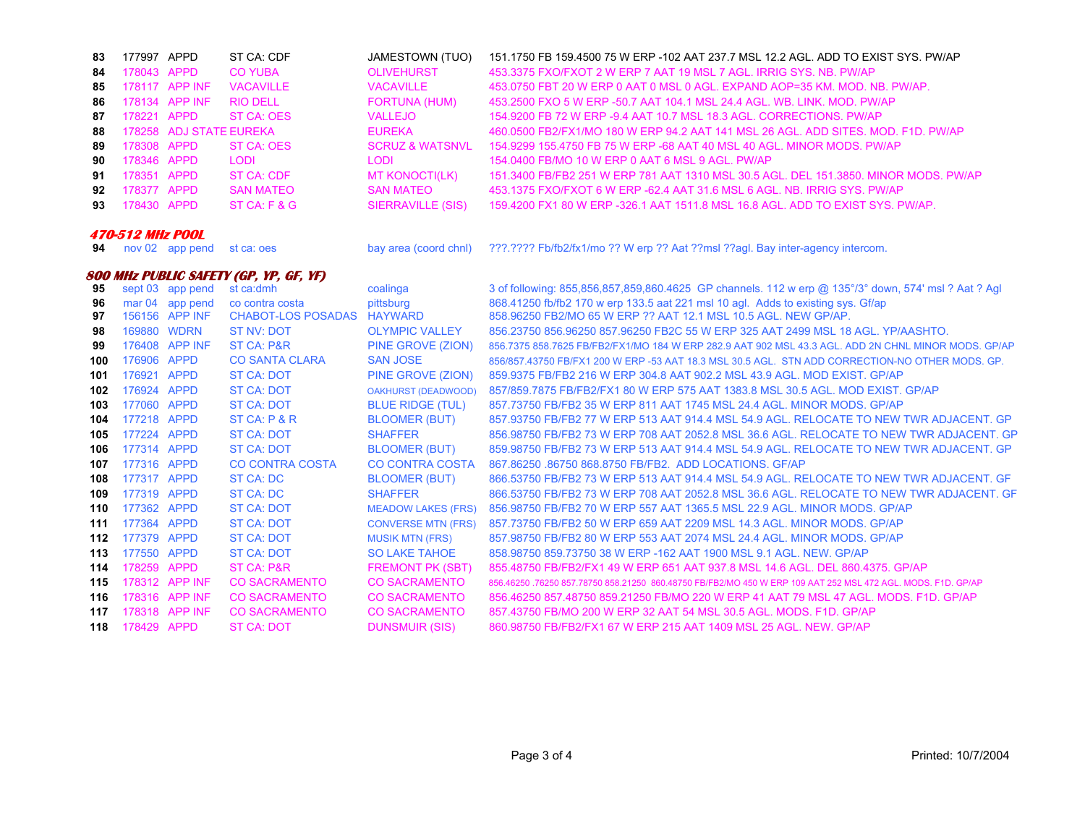| 83                      | 177997 APPD                |                         | ST CA: CDF                             | <b>JAMESTOWN (TUO)</b>                          | 151.1750 FB 159.4500 75 W ERP -102 AAT 237.7 MSL 12.2 AGL. ADD TO EXIST SYS. PW/AP                                                                 |  |
|-------------------------|----------------------------|-------------------------|----------------------------------------|-------------------------------------------------|----------------------------------------------------------------------------------------------------------------------------------------------------|--|
| 84                      | 178043 APPD                |                         | <b>CO YUBA</b>                         | <b>OLIVEHURST</b>                               | 453.3375 FXO/FXOT 2 W ERP 7 AAT 19 MSL 7 AGL. IRRIG SYS, NB, PW/AP                                                                                 |  |
| 85                      |                            | 178117 APP INF          | <b>VACAVILLE</b>                       | <b>VACAVILLE</b>                                | 453.0750 FBT 20 W ERP 0 AAT 0 MSL 0 AGL. EXPAND AOP=35 KM. MOD. NB. PW/AP.                                                                         |  |
| 86                      |                            | 178134 APP INF          | <b>RIO DELL</b>                        | <b>FORTUNA (HUM)</b>                            | 453.2500 FXO 5 W ERP -50.7 AAT 104.1 MSL 24.4 AGL. WB. LINK. MOD. PW/AP                                                                            |  |
| 87                      | 178221 APPD                |                         | <b>ST CA: OES</b>                      | <b>VALLEJO</b>                                  | 154,9200 FB 72 W ERP -9.4 AAT 10.7 MSL 18.3 AGL, CORRECTIONS, PW/AP                                                                                |  |
| 88                      |                            | 178258 ADJ STATE EUREKA |                                        | <b>EUREKA</b>                                   | 460.0500 FB2/FX1/MO 180 W ERP 94.2 AAT 141 MSL 26 AGL. ADD SITES. MOD. F1D. PW/AP                                                                  |  |
| 89                      | 178308 APPD                |                         | ST CA: OES                             | <b>SCRUZ &amp; WATSNVL</b>                      | 154,9299 155,4750 FB 75 W ERP -68 AAT 40 MSL 40 AGL, MINOR MODS, PW/AP                                                                             |  |
| 90                      | 178346 APPD                |                         | <b>LODI</b>                            | <b>LODI</b>                                     | 154,0400 FB/MO 10 W ERP 0 AAT 6 MSL 9 AGL, PW/AP                                                                                                   |  |
| 91                      | 178351 APPD                |                         | <b>ST CA: CDF</b>                      | <b>MT KONOCTI(LK)</b>                           | 151.3400 FB/FB2 251 W ERP 781 AAT 1310 MSL 30.5 AGL, DEL 151.3850, MINOR MODS, PW/AP                                                               |  |
| 92                      | 178377 APPD                |                         | <b>SAN MATEO</b>                       | <b>SAN MATEO</b>                                | 453.1375 FXO/FXOT 6 W ERP -62.4 AAT 31.6 MSL 6 AGL, NB, IRRIG SYS, PW/AP                                                                           |  |
| 93                      | 178430 APPD                |                         | ST CA: F & G                           | <b>SIERRAVILLE (SIS)</b>                        | 159.4200 FX1 80 W ERP -326.1 AAT 1511.8 MSL 16.8 AGL. ADD TO EXIST SYS. PW/AP.                                                                     |  |
| <b>470-512 MHz POOL</b> |                            |                         |                                        |                                                 |                                                                                                                                                    |  |
| 94                      |                            | nov 02 app pend         | st ca: oes                             | bay area (coord chnl)                           | ???.???? Fb/fb2/fx1/mo ?? W erp ?? Aat ??msl ??agl. Bay inter-agency intercom.                                                                     |  |
|                         |                            |                         | 800 MHz PUBLIC SAFETY (GP, YP, GF, YF) |                                                 |                                                                                                                                                    |  |
| 95                      |                            | sept 03 app pend        | st ca:dmh                              | coalinga                                        | 3 of following: 855,856,857,859,860.4625 GP channels. 112 w erp @ 135°/3° down, 574' msl ? Aat ? Agl                                               |  |
| 96                      |                            | mar 04 app pend         | co contra costa                        | pittsburg                                       | 868.41250 fb/fb2 170 w erp 133.5 aat 221 msl 10 agl. Adds to existing sys. Gf/ap                                                                   |  |
| 97                      |                            | 156156 APP INF          | <b>CHABOT-LOS POSADAS</b>              | <b>HAYWARD</b>                                  | 858.96250 FB2/MO 65 W ERP ?? AAT 12.1 MSL 10.5 AGL. NEW GP/AP.                                                                                     |  |
| 98                      |                            | 169880 WDRN             | <b>ST NV: DOT</b>                      | <b>OLYMPIC VALLEY</b>                           | 856.23750 856.96250 857.96250 FB2C 55 W ERP 325 AAT 2499 MSL 18 AGL. YP/AASHTO.                                                                    |  |
| 99                      |                            | 176408 APP INF          | <b>ST CA: P&amp;R</b>                  | PINE GROVE (ZION)                               | 856.7375 858.7625 FB/FB2/FX1/MO 184 W ERP 282.9 AAT 902 MSL 43.3 AGL. ADD 2N CHNL MINOR MODS. GP/AP                                                |  |
| 100                     | 176906 APPD                |                         | <b>CO SANTA CLARA</b>                  | <b>SAN JOSE</b>                                 | 856/857.43750 FB/FX1 200 W ERP -53 AAT 18.3 MSL 30.5 AGL. STN ADD CORRECTION-NO OTHER MODS. GP.                                                    |  |
| 101                     | 176921 APPD                |                         | <b>ST CA: DOT</b>                      | PINE GROVE (ZION)                               | 859.9375 FB/FB2 216 W ERP 304.8 AAT 902.2 MSL 43.9 AGL, MOD EXIST, GP/AP                                                                           |  |
| 102                     | 176924 APPD                |                         | <b>ST CA: DOT</b>                      | <b>OAKHURST (DEADWOOD)</b>                      | 857/859.7875 FB/FB2/FX1 80 W ERP 575 AAT 1383.8 MSL 30.5 AGL. MOD EXIST. GP/AP                                                                     |  |
| 103                     | 177060 APPD                |                         | ST CA: DOT                             | <b>BLUE RIDGE (TUL)</b>                         | 857.73750 FB/FB2 35 W ERP 811 AAT 1745 MSL 24.4 AGL, MINOR MODS, GP/AP                                                                             |  |
| 104                     | 177218 APPD                |                         | ST CA: P & R                           | <b>BLOOMER (BUT)</b>                            | 857.93750 FB/FB2 77 W ERP 513 AAT 914.4 MSL 54.9 AGL. RELOCATE TO NEW TWR ADJACENT. GP                                                             |  |
| 105                     | 177224 APPD                |                         | ST CA: DOT                             | <b>SHAFFER</b>                                  | 856.98750 FB/FB2 73 W ERP 708 AAT 2052.8 MSL 36.6 AGL, RELOCATE TO NEW TWR ADJACENT, GP                                                            |  |
| 106                     | 177314 APPD                |                         | ST CA: DOT                             | <b>BLOOMER (BUT)</b>                            | 859.98750 FB/FB2 73 W ERP 513 AAT 914.4 MSL 54.9 AGL. RELOCATE TO NEW TWR ADJACENT. GP                                                             |  |
| 107                     | 177316 APPD                |                         | <b>CO CONTRA COSTA</b>                 | <b>CO CONTRA COSTA</b>                          | 867.86250.86750.868.8750 FB/FB2. ADD LOCATIONS. GF/AP                                                                                              |  |
| 108                     | 177317 APPD                |                         | <b>ST CA: DC</b>                       | <b>BLOOMER (BUT)</b>                            | 866.53750 FB/FB2 73 W ERP 513 AAT 914.4 MSL 54.9 AGL. RELOCATE TO NEW TWR ADJACENT. GF                                                             |  |
| 109                     | 177319 APPD<br>177362 APPD |                         | <b>ST CA: DC</b>                       | <b>SHAFFER</b>                                  | 866.53750 FB/FB2 73 W ERP 708 AAT 2052.8 MSL 36.6 AGL, RELOCATE TO NEW TWR ADJACENT, GF                                                            |  |
| 110                     | 177364 APPD                |                         | <b>ST CA: DOT</b>                      | <b>MEADOW LAKES (FRS)</b>                       | 856.98750 FB/FB2 70 W ERP 557 AAT 1365.5 MSL 22.9 AGL. MINOR MODS, GP/AP<br>857.73750 FB/FB2 50 W ERP 659 AAT 2209 MSL 14.3 AGL, MINOR MODS, GP/AP |  |
| 111                     | 177379 APPD                |                         | ST CA: DOT<br><b>ST CA: DOT</b>        | <b>CONVERSE MTN (FRS)</b>                       | 857.98750 FB/FB2 80 W ERP 553 AAT 2074 MSL 24.4 AGL. MINOR MODS. GP/AP                                                                             |  |
| 112                     | 177550 APPD                |                         | <b>ST CA: DOT</b>                      | <b>MUSIK MTN (FRS)</b><br><b>SO LAKE TAHOE</b>  | 858.98750 859.73750 38 W ERP - 162 AAT 1900 MSL 9.1 AGL. NEW. GP/AP                                                                                |  |
| 113                     | 178259 APPD                |                         | ST CA: P&R                             |                                                 | 855.48750 FB/FB2/FX1 49 W ERP 651 AAT 937.8 MSL 14.6 AGL, DEL 860.4375, GP/AP                                                                      |  |
| 114<br>115              |                            | 178312 APP INF          | <b>CO SACRAMENTO</b>                   | <b>FREMONT PK (SBT)</b><br><b>CO SACRAMENTO</b> | 856,46250,76250 857,78750 858,21250 860,48750 FB/FB2/MO 450 W ERP 109 AAT 252 MSL 472 AGL, MODS, F1D, GP/AP                                        |  |
|                         |                            | 178316 APP INF          | <b>CO SACRAMENTO</b>                   | <b>CO SACRAMENTO</b>                            | 856.46250 857.48750 859.21250 FB/MO 220 W ERP 41 AAT 79 MSL 47 AGL, MODS, F1D, GP/AP                                                               |  |
| 116<br>117              |                            | 178318 APP INF          | <b>CO SACRAMENTO</b>                   | <b>CO SACRAMENTO</b>                            | 857.43750 FB/MO 200 W ERP 32 AAT 54 MSL 30.5 AGL. MODS. F1D. GP/AP                                                                                 |  |
|                         |                            |                         |                                        |                                                 |                                                                                                                                                    |  |
| 118                     | 178429 APPD                |                         | <b>ST CA: DOT</b>                      | <b>DUNSMUIR (SIS)</b>                           | 860.98750 FB/FB2/FX1 67 W ERP 215 AAT 1409 MSL 25 AGL. NEW. GP/AP                                                                                  |  |